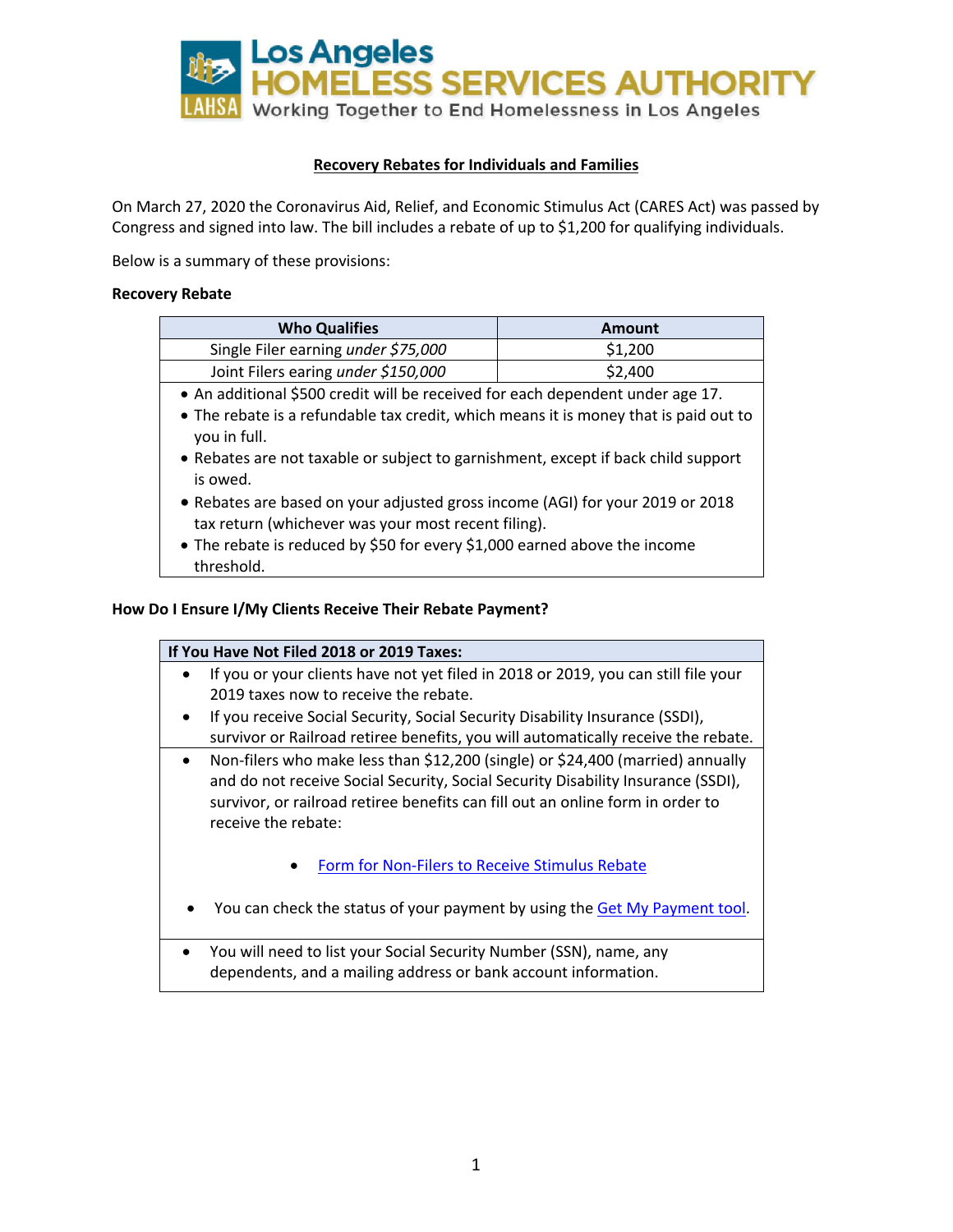

# **Recovery Rebates for Individuals and Families**

On March 27, 2020 the Coronavirus Aid, Relief, and Economic Stimulus Act (CARES Act) was passed by Congress and signed into law. The bill includes a rebate of up to \$1,200 for qualifying individuals.

Below is a summary of these provisions:

#### **Recovery Rebate**

| <b>Who Qualifies</b>                | Amount  |
|-------------------------------------|---------|
| Single Filer earning under \$75,000 | \$1,200 |
| Joint Filers earing under \$150,000 | \$2,400 |

- An additional \$500 credit will be received for each dependent under age 17.
- The rebate is a refundable tax credit, which means it is money that is paid out to you in full.
- Rebates are not taxable or subject to garnishment, except if back child support is owed.
- Rebates are based on your adjusted gross income (AGI) for your 2019 or 2018 tax return (whichever was your most recent filing).
- The rebate is reduced by \$50 for every \$1,000 earned above the income threshold.

#### **How Do I Ensure I/My Clients Receive Their Rebate Payment?**

| If You Have Not Filed 2018 or 2019 Taxes:                                                                                                                                                                                                                                   |  |  |
|-----------------------------------------------------------------------------------------------------------------------------------------------------------------------------------------------------------------------------------------------------------------------------|--|--|
| If you or your clients have not yet filed in 2018 or 2019, you can still file your                                                                                                                                                                                          |  |  |
| 2019 taxes now to receive the rebate.                                                                                                                                                                                                                                       |  |  |
| If you receive Social Security, Social Security Disability Insurance (SSDI),<br>survivor or Railroad retiree benefits, you will automatically receive the rebate.                                                                                                           |  |  |
| Non-filers who make less than \$12,200 (single) or \$24,400 (married) annually<br>and do not receive Social Security, Social Security Disability Insurance (SSDI),<br>survivor, or railroad retiree benefits can fill out an online form in order to<br>receive the rebate: |  |  |
| Form for Non-Filers to Receive Stimulus Rebate                                                                                                                                                                                                                              |  |  |
| You can check the status of your payment by using the Get My Payment tool.                                                                                                                                                                                                  |  |  |
| You will need to list your Social Security Number (SSN), name, any<br>dependents, and a mailing address or bank account information.                                                                                                                                        |  |  |